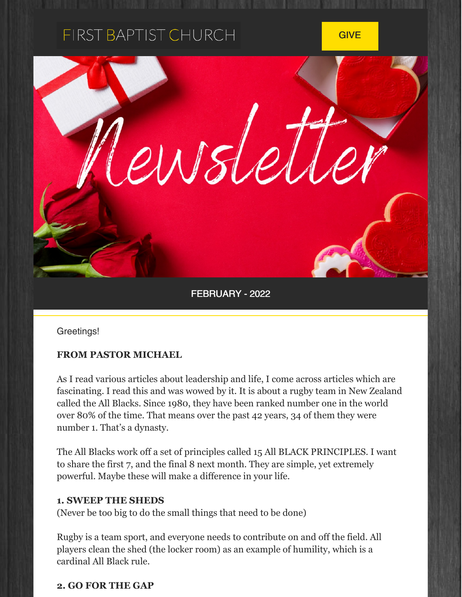# FIRST BAPTIST CHURCH

**[GIVE](http://www.alexfbc.com/give/)** 



FEBRUARY - 2022

Greetings!

#### **FROM PASTOR MICHAEL**

As I read various articles about leadership and life, I come across articles which are fascinating. I read this and was wowed by it. It is about a rugby team in New Zealand called the All Blacks. Since 1980, they have been ranked number one in the world over 80% of the time. That means over the past 42 years, 34 of them they were number 1. That's a dynasty.

The All Blacks work off a set of principles called 15 All BLACK PRINCIPLES. I want to share the first 7, and the final 8 next month. They are simple, yet extremely powerful. Maybe these will make a difference in your life.

#### **1. SWEEP THE SHEDS**

(Never be too big to do the small things that need to be done)

Rugby is a team sport, and everyone needs to contribute on and off the field. All players clean the shed (the locker room) as an example of humility, which is a cardinal All Black rule.

#### **2. GO FOR THE GAP**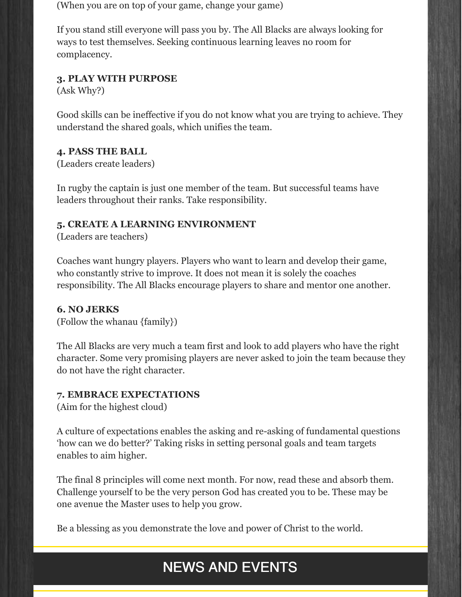(When you are on top of your game, change your game)

If you stand still everyone will pass you by. The All Blacks are always looking for ways to test themselves. Seeking continuous learning leaves no room for complacency.

#### **3. PLAY WITH PURPOSE**

(Ask Why?)

Good skills can be ineffective if you do not know what you are trying to achieve. They understand the shared goals, which unifies the team.

#### **4. PASS THE BALL**

(Leaders create leaders)

In rugby the captain is just one member of the team. But successful teams have leaders throughout their ranks. Take responsibility.

#### **5. CREATE A LEARNING ENVIRONMENT**

(Leaders are teachers)

Coaches want hungry players. Players who want to learn and develop their game, who constantly strive to improve. It does not mean it is solely the coaches responsibility. The All Blacks encourage players to share and mentor one another.

#### **6. NO JERKS**

(Follow the whanau {family})

The All Blacks are very much a team first and look to add players who have the right character. Some very promising players are never asked to join the team because they do not have the right character.

#### **7. EMBRACE EXPECTATIONS**

(Aim for the highest cloud)

A culture of expectations enables the asking and re-asking of fundamental questions 'how can we do better?' Taking risks in setting personal goals and team targets enables to aim higher.

The final 8 principles will come next month. For now, read these and absorb them. Challenge yourself to be the very person God has created you to be. These may be one avenue the Master uses to help you grow.

Be a blessing as you demonstrate the love and power of Christ to the world.

## NEWS AND EVENTS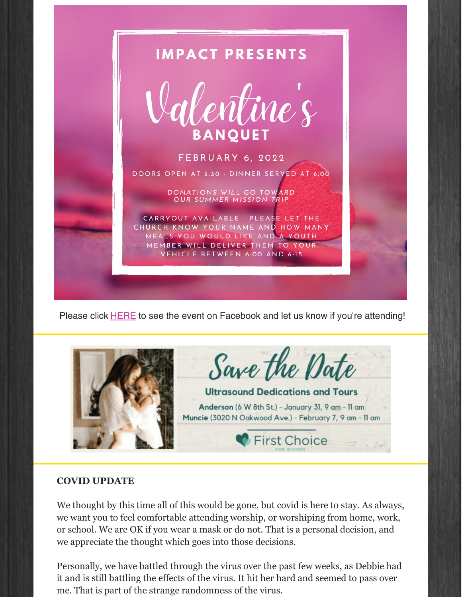

Please click [HERE](https://www.facebook.com/events/500612821480997?ref=newsfeed) to see the event on Facebook and let us know if you're attending!



Save the Date

**Ultrasound Dedications and Tours** Anderson (6 W 8th St.) - January 31, 9 am - 11 am Muncie (3020 N Oakwood Ave.) - February 7, 9 am - 11 am

**First Choice** 

#### **COVID UPDATE**

We thought by this time all of this would be gone, but covid is here to stay. As always, we want you to feel comfortable attending worship, or worshiping from home, work, or school. We are OK if you wear a mask or do not. That is a personal decision, and we appreciate the thought which goes into those decisions.

Personally, we have battled through the virus over the past few weeks, as Debbie had it and is still battling the effects of the virus. It hit her hard and seemed to pass over me. That is part of the strange randomness of the virus.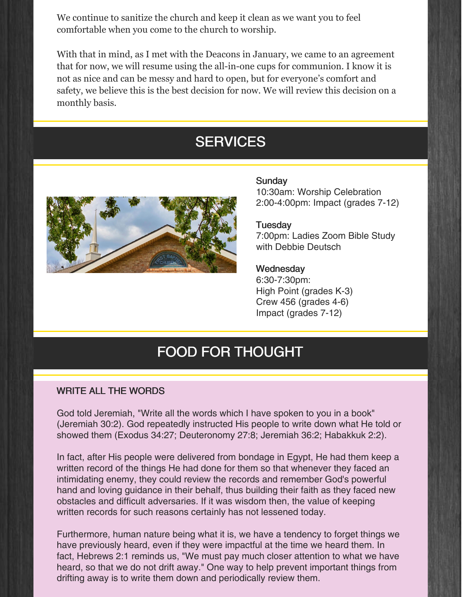We continue to sanitize the church and keep it clean as we want you to feel comfortable when you come to the church to worship.

With that in mind, as I met with the Deacons in January, we came to an agreement that for now, we will resume using the all-in-one cups for communion. I know it is not as nice and can be messy and hard to open, but for everyone's comfort and safety, we believe this is the best decision for now. We will review this decision on a monthly basis.

### **SERVICES**



#### Sunday

10:30am: Worship Celebration 2:00-4:00pm: Impact (grades 7-12)

**Tuesday** 7:00pm: Ladies Zoom Bible Study with Debbie Deutsch

#### **Wednesday**

6:30-7:30pm: High Point (grades K-3) Crew 456 (grades 4-6) Impact (grades 7-12)

### FOOD FOR THOUGHT

#### WRITE ALL THE WORDS

God told Jeremiah, "Write all the words which I have spoken to you in a book" (Jeremiah 30:2). God repeatedly instructed His people to write down what He told or showed them (Exodus 34:27; Deuteronomy 27:8; Jeremiah 36:2; Habakkuk 2:2).

In fact, after His people were delivered from bondage in Egypt, He had them keep a written record of the things He had done for them so that whenever they faced an intimidating enemy, they could review the records and remember God's powerful hand and loving guidance in their behalf, thus building their faith as they faced new obstacles and difficult adversaries. If it was wisdom then, the value of keeping written records for such reasons certainly has not lessened today.

Furthermore, human nature being what it is, we have a tendency to forget things we have previously heard, even if they were impactful at the time we heard them. In fact, Hebrews 2:1 reminds us, "We must pay much closer attention to what we have heard, so that we do not drift away." One way to help prevent important things from drifting away is to write them down and periodically review them.